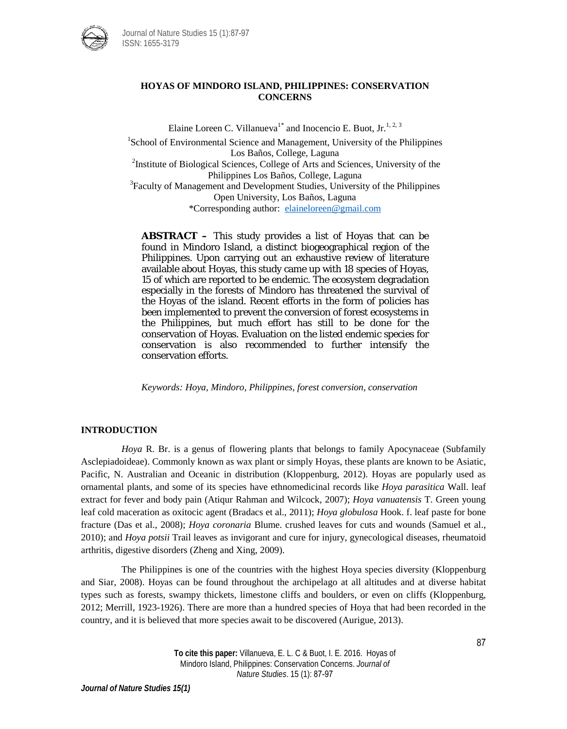

# **HOYAS OF MINDORO ISLAND, PHILIPPINES: CONSERVATION CONCERNS**

Elaine Loreen C. Villanueva<sup>1\*</sup> and Inocencio E. Buot, Jr.<sup>1, 2, 3</sup> <sup>1</sup>School of Environmental Science and Management, University of the Philippines Los Baños, College, Laguna<br>
<sup>2</sup>Institute of Biological Sciences, College of Arts and Sciences, University of the Philippines Los Baños, College, Laguna<br><sup>3</sup> Faculty of Management and Development Studies, University of the Philippines Open University, Los Baños, Laguna \*Corresponding author: [elaineloreen@gmail.com](mailto:elaineloreen@gmail.com)

**ABSTRACT –** This study provides a list of Hoyas that can be found in Mindoro Island, a distinct biogeographical region of the Philippines. Upon carrying out an exhaustive review of literature available about Hoyas, this study came up with 18 species of Hoyas, 15 of which are reported to be endemic. The ecosystem degradation especially in the forests of Mindoro has threatened the survival of the Hoyas of the island. Recent efforts in the form of policies has been implemented to prevent the conversion of forest ecosystems in the Philippines, but much effort has still to be done for the conservation of Hoyas. Evaluation on the listed endemic species for conservation is also recommended to further intensify the conservation efforts.

*Keywords: Hoya, Mindoro, Philippines, forest conversion, conservation*

### **INTRODUCTION**

*Hoya* R. Br. is a genus of flowering plants that belongs to family Apocynaceae (Subfamily Asclepiadoideae). Commonly known as wax plant or simply Hoyas, these plants are known to be Asiatic, Pacific, N. Australian and Oceanic in distribution (Kloppenburg, 2012). Hoyas are popularly used as ornamental plants, and some of its species have ethnomedicinal records like *Hoya parasitica* Wall. leaf extract for fever and body pain (Atiqur Rahman and Wilcock, 2007); *Hoya vanuatensis* T. Green young leaf cold maceration as oxitocic agent (Bradacs et al., 2011); *Hoya globulosa* Hook. f. leaf paste for bone fracture (Das et al., 2008); *Hoya coronaria* Blume. crushed leaves for cuts and wounds (Samuel et al., 2010); and *Hoya potsii* Trail leaves as invigorant and cure for injury, gynecological diseases, rheumatoid arthritis, digestive disorders (Zheng and Xing, 2009).

The Philippines is one of the countries with the highest Hoya species diversity (Kloppenburg and Siar, 2008). Hoyas can be found throughout the archipelago at all altitudes and at diverse habitat types such as forests, swampy thickets, limestone cliffs and boulders, or even on cliffs (Kloppenburg, 2012; Merrill, 1923-1926). There are more than a hundred species of Hoya that had been recorded in the country, and it is believed that more species await to be discovered (Aurigue, 2013).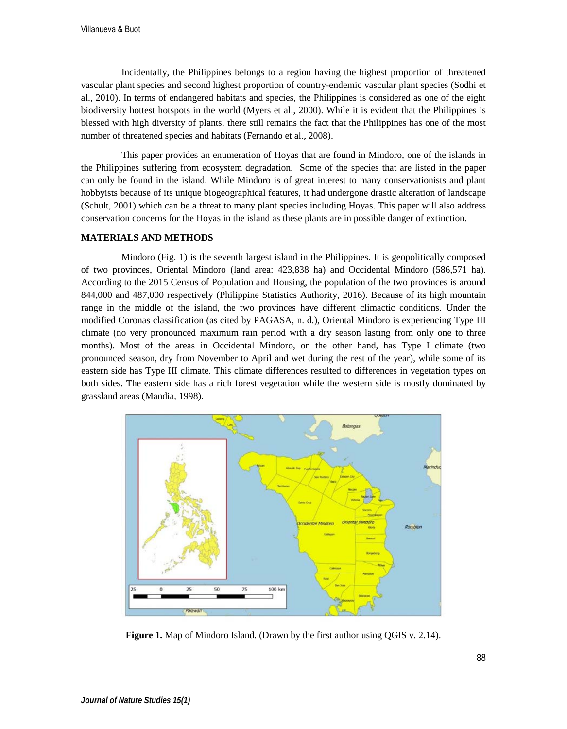Incidentally, the Philippines belongs to a region having the highest proportion of threatened vascular plant species and second highest proportion of country-endemic vascular plant species (Sodhi et al., 2010). In terms of endangered habitats and species, the Philippines is considered as one of the eight biodiversity hottest hotspots in the world (Myers et al., 2000). While it is evident that the Philippines is blessed with high diversity of plants, there still remains the fact that the Philippines has one of the most number of threatened species and habitats (Fernando et al., 2008).

This paper provides an enumeration of Hoyas that are found in Mindoro, one of the islands in the Philippines suffering from ecosystem degradation. Some of the species that are listed in the paper can only be found in the island. While Mindoro is of great interest to many conservationists and plant hobbyists because of its unique biogeographical features, it had undergone drastic alteration of landscape (Schult, 2001) which can be a threat to many plant species including Hoyas. This paper will also address conservation concerns for the Hoyas in the island as these plants are in possible danger of extinction.

# **MATERIALS AND METHODS**

Mindoro (Fig. 1) is the seventh largest island in the Philippines. It is geopolitically composed of two provinces, Oriental Mindoro (land area: 423,838 ha) and Occidental Mindoro (586,571 ha). According to the 2015 Census of Population and Housing, the population of the two provinces is around 844,000 and 487,000 respectively (Philippine Statistics Authority, 2016). Because of its high mountain range in the middle of the island, the two provinces have different climactic conditions. Under the modified Coronas classification (as cited by PAGASA, n. d.), Oriental Mindoro is experiencing Type III climate (no very pronounced maximum rain period with a dry season lasting from only one to three months). Most of the areas in Occidental Mindoro, on the other hand, has Type I climate (two pronounced season, dry from November to April and wet during the rest of the year), while some of its eastern side has Type III climate. This climate differences resulted to differences in vegetation types on both sides. The eastern side has a rich forest vegetation while the western side is mostly dominated by grassland areas (Mandia, 1998).



**Figure 1.** Map of Mindoro Island. (Drawn by the first author using QGIS v. 2.14).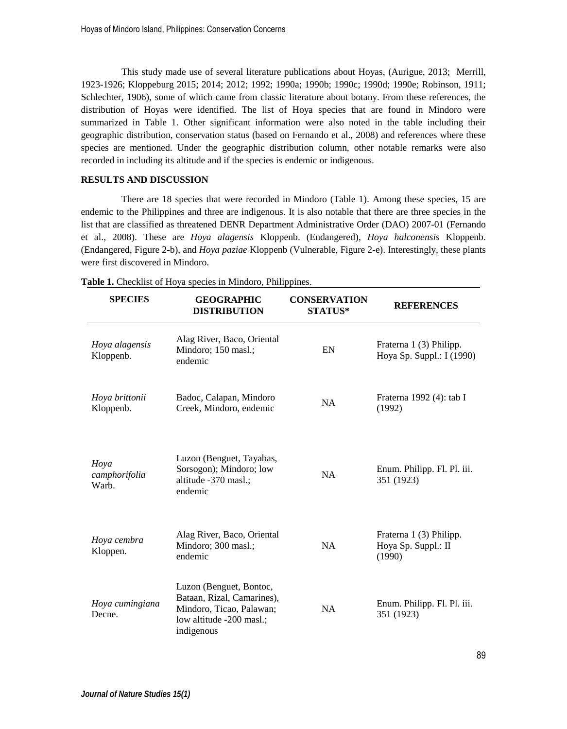This study made use of several literature publications about Hoyas, (Aurigue, 2013; Merrill, 1923-1926; Kloppeburg 2015; 2014; 2012; 1992; 1990a; 1990b; 1990c; 1990d; 1990e; Robinson, 1911; Schlechter, 1906), some of which came from classic literature about botany. From these references, the distribution of Hoyas were identified. The list of Hoya species that are found in Mindoro were summarized in Table 1. Other significant information were also noted in the table including their geographic distribution, conservation status (based on Fernando et al., 2008) and references where these species are mentioned. Under the geographic distribution column, other notable remarks were also recorded in including its altitude and if the species is endemic or indigenous.

### **RESULTS AND DISCUSSION**

There are 18 species that were recorded in Mindoro (Table 1). Among these species, 15 are endemic to the Philippines and three are indigenous. It is also notable that there are three species in the list that are classified as threatened DENR Department Administrative Order (DAO) 2007-01 (Fernando et al., 2008). These are *Hoya alagensis* Kloppenb. (Endangered), *Hoya halconensis* Kloppenb. (Endangered, Figure 2-b), and *Hoya paziae* Kloppenb (Vulnerable, Figure 2-e). Interestingly, these plants were first discovered in Mindoro.

| <b>SPECIES</b>                 | <b>GEOGRAPHIC</b><br><b>DISTRIBUTION</b>                                                                                    | <b>CONSERVATION</b><br>STATUS* | <b>REFERENCES</b>                                        |
|--------------------------------|-----------------------------------------------------------------------------------------------------------------------------|--------------------------------|----------------------------------------------------------|
| Hoya alagensis<br>Kloppenb.    | Alag River, Baco, Oriental<br>Mindoro; 150 masl.;<br>endemic                                                                | EN                             | Fraterna 1 (3) Philipp.<br>Hoya Sp. Suppl.: I (1990)     |
| Hoya brittonii<br>Kloppenb.    | Badoc, Calapan, Mindoro<br>Creek, Mindoro, endemic                                                                          | <b>NA</b>                      | Fraterna 1992 $(4)$ : tab I<br>(1992)                    |
| Hoya<br>camphorifolia<br>Warb. | Luzon (Benguet, Tayabas,<br>Sorsogon); Mindoro; low<br>altitude -370 masl.;<br>endemic                                      | <b>NA</b>                      | Enum. Philipp. Fl. Pl. iii.<br>351 (1923)                |
| Hoya cembra<br>Kloppen.        | Alag River, Baco, Oriental<br>Mindoro; 300 masl.;<br>endemic                                                                | NA.                            | Fraterna 1 (3) Philipp.<br>Hoya Sp. Suppl.: II<br>(1990) |
| Hoya cumingiana<br>Decne.      | Luzon (Benguet, Bontoc,<br>Bataan, Rizal, Camarines),<br>Mindoro, Ticao, Palawan;<br>low altitude -200 masl.;<br>indigenous | NA.                            | Enum. Philipp. Fl. Pl. iii.<br>351 (1923)                |

**Table 1.** Checklist of Hoya species in Mindoro, Philippines.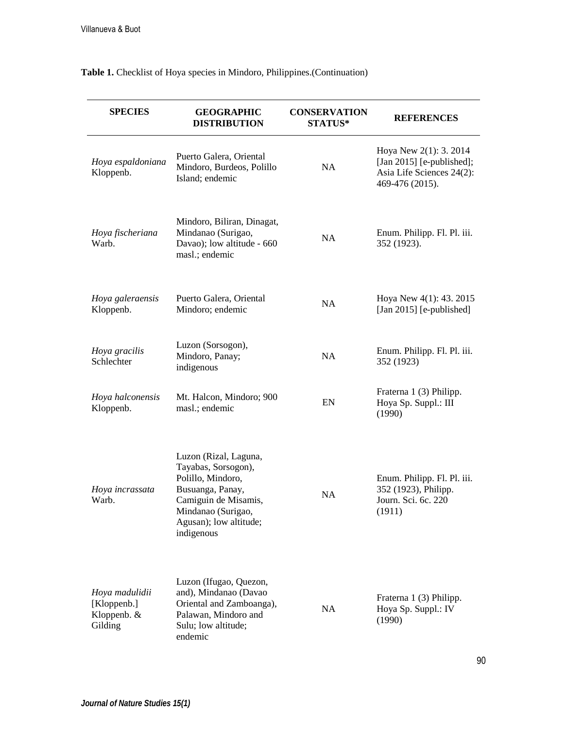| <b>SPECIES</b>                                          | <b>GEOGRAPHIC</b><br><b>DISTRIBUTION</b>                                                                                                                                    | <b>CONSERVATION</b><br><b>STATUS*</b> | <b>REFERENCES</b>                                                                                   |
|---------------------------------------------------------|-----------------------------------------------------------------------------------------------------------------------------------------------------------------------------|---------------------------------------|-----------------------------------------------------------------------------------------------------|
| Hoya espaldoniana<br>Kloppenb.                          | Puerto Galera, Oriental<br>Mindoro, Burdeos, Polillo<br>Island; endemic                                                                                                     | <b>NA</b>                             | Hoya New 2(1): 3. 2014<br>[Jan 2015] [e-published];<br>Asia Life Sciences 24(2):<br>469-476 (2015). |
| Hoya fischeriana<br>Warb.                               | Mindoro, Biliran, Dinagat,<br>Mindanao (Surigao,<br>Davao); low altitude - 660<br>masl.; endemic                                                                            | <b>NA</b>                             | Enum. Philipp. Fl. Pl. iii.<br>352 (1923).                                                          |
| Hoya galeraensis<br>Kloppenb.                           | Puerto Galera, Oriental<br>Mindoro; endemic                                                                                                                                 | <b>NA</b>                             | Hoya New 4(1): 43. 2015<br>[Jan 2015] [e-published]                                                 |
| Hoya gracilis<br>Schlechter                             | Luzon (Sorsogon),<br>Mindoro, Panay;<br>indigenous                                                                                                                          | <b>NA</b>                             | Enum. Philipp. Fl. Pl. iii.<br>352 (1923)                                                           |
| Hoya halconensis<br>Kloppenb.                           | Mt. Halcon, Mindoro; 900<br>masl.; endemic                                                                                                                                  | EN                                    | Fraterna 1 (3) Philipp.<br>Hoya Sp. Suppl.: III<br>(1990)                                           |
| Hoya incrassata<br>Warb.                                | Luzon (Rizal, Laguna,<br>Tayabas, Sorsogon),<br>Polillo, Mindoro,<br>Busuanga, Panay,<br>Camiguin de Misamis,<br>Mindanao (Surigao,<br>Agusan); low altitude;<br>indigenous | <b>NA</b>                             | Enum. Philipp. Fl. Pl. iii.<br>352 (1923), Philipp.<br>Journ. Sci. 6c. 220<br>(1911)                |
| Hoya madulidii<br>[Kloppenb.]<br>Kloppenb. &<br>Gilding | Luzon (Ifugao, Quezon,<br>and), Mindanao (Davao<br>Oriental and Zamboanga),<br>Palawan, Mindoro and<br>Sulu; low altitude;<br>endemic                                       | <b>NA</b>                             | Fraterna 1 (3) Philipp.<br>Hoya Sp. Suppl.: IV<br>(1990)                                            |

# **Table 1.** Checklist of Hoya species in Mindoro, Philippines.(Continuation)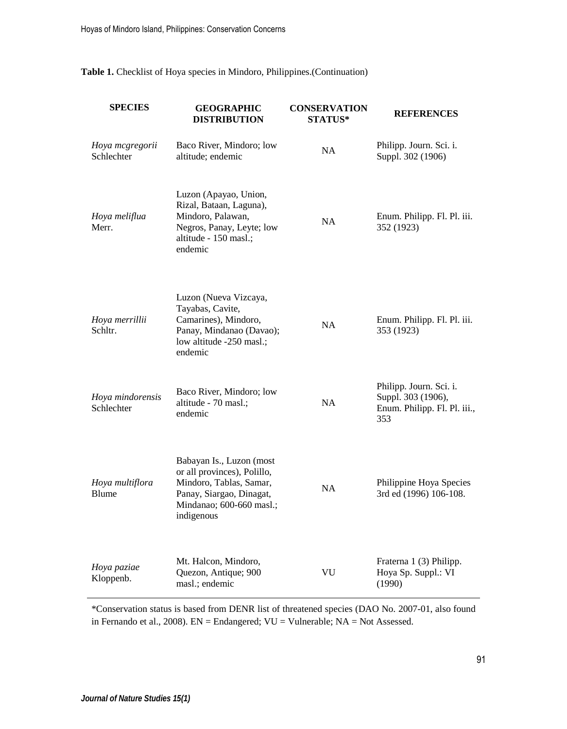# **Table 1.** Checklist of Hoya species in Mindoro, Philippines.(Continuation)

| <b>SPECIES</b>                 | <b>GEOGRAPHIC</b><br><b>DISTRIBUTION</b>                                                                                                                 | <b>CONSERVATION</b><br><b>STATUS*</b> | <b>REFERENCES</b>                                                                    |
|--------------------------------|----------------------------------------------------------------------------------------------------------------------------------------------------------|---------------------------------------|--------------------------------------------------------------------------------------|
| Hoya mcgregorii<br>Schlechter  | Baco River, Mindoro; low<br>altitude; endemic                                                                                                            | NA                                    | Philipp. Journ. Sci. i.<br>Suppl. 302 (1906)                                         |
| Hoya meliflua<br>Merr.         | Luzon (Apayao, Union,<br>Rizal, Bataan, Laguna),<br>Mindoro, Palawan,<br>Negros, Panay, Leyte; low<br>altitude - 150 masl.;<br>endemic                   | <b>NA</b>                             | Enum. Philipp. Fl. Pl. iii.<br>352 (1923)                                            |
| Hoya merrillii<br>Schltr.      | Luzon (Nueva Vizcaya,<br>Tayabas, Cavite,<br>Camarines), Mindoro,<br>Panay, Mindanao (Davao);<br>low altitude -250 masl.;<br>endemic                     | <b>NA</b>                             | Enum. Philipp. Fl. Pl. iii.<br>353 (1923)                                            |
| Hoya mindorensis<br>Schlechter | Baco River, Mindoro; low<br>altitude - 70 masl.;<br>endemic                                                                                              | NA                                    | Philipp. Journ. Sci. i.<br>Suppl. 303 (1906),<br>Enum. Philipp. Fl. Pl. iii.,<br>353 |
| Hoya multiflora<br>Blume       | Babayan Is., Luzon (most<br>or all provinces), Polillo,<br>Mindoro, Tablas, Samar,<br>Panay, Siargao, Dinagat,<br>Mindanao; 600-660 masl.;<br>indigenous | NA                                    | Philippine Hoya Species<br>3rd ed (1996) 106-108.                                    |
| Hoya paziae<br>Kloppenb.       | Mt. Halcon, Mindoro,<br>Quezon, Antique; 900<br>masl.; endemic                                                                                           | VU                                    | Fraterna 1 (3) Philipp.<br>Hoya Sp. Suppl.: VI<br>(1990)                             |

\*Conservation status is based from DENR list of threatened species (DAO No. 2007-01, also found in Fernando et al., 2008). EN = Endangered; VU = Vulnerable; NA = Not Assessed.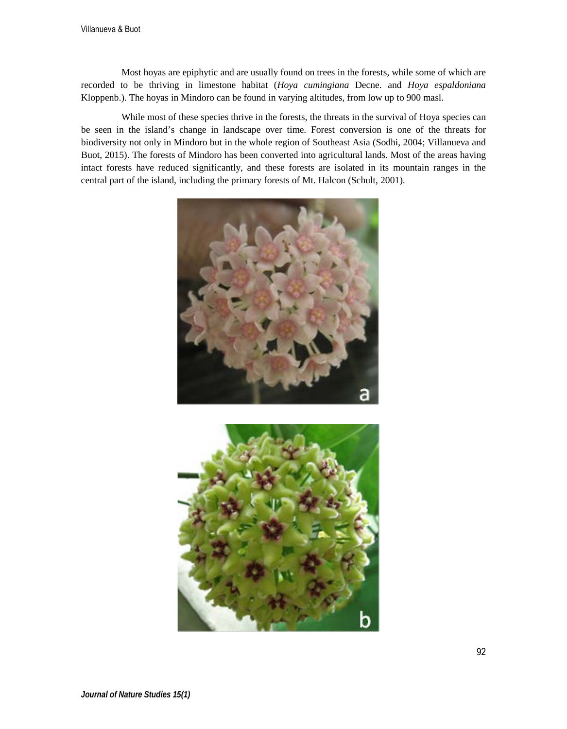Most hoyas are epiphytic and are usually found on trees in the forests, while some of which are recorded to be thriving in limestone habitat (*Hoya cumingiana* Decne. and *Hoya espaldoniana* Kloppenb.). The hoyas in Mindoro can be found in varying altitudes, from low up to 900 masl.

While most of these species thrive in the forests, the threats in the survival of Hoya species can be seen in the island's change in landscape over time. Forest conversion is one of the threats for biodiversity not only in Mindoro but in the whole region of Southeast Asia (Sodhi, 2004; Villanueva and Buot, 2015). The forests of Mindoro has been converted into agricultural lands. Most of the areas having intact forests have reduced significantly, and these forests are isolated in its mountain ranges in the central part of the island, including the primary forests of Mt. Halcon (Schult, 2001).





92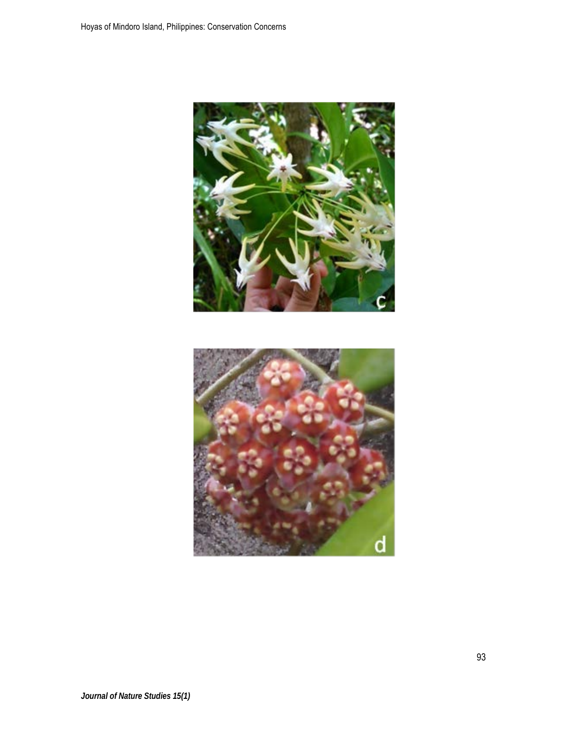

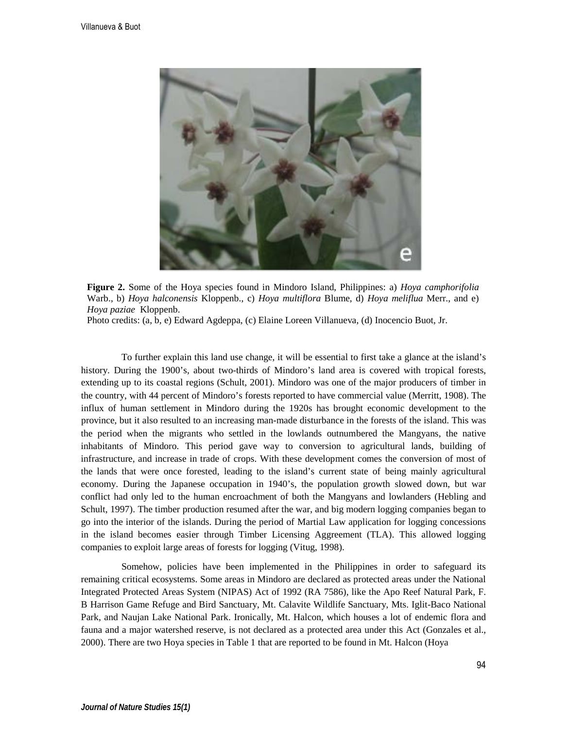

**Figure 2.** Some of the Hoya species found in Mindoro Island, Philippines: a) *Hoya camphorifolia* Warb., b) *Hoya halconensis* Kloppenb., c) *Hoya multiflora* Blume, d) *Hoya meliflua* Merr., and e) *Hoya paziae* Kloppenb.

Photo credits: (a, b, e) Edward Agdeppa, (c) Elaine Loreen Villanueva, (d) Inocencio Buot, Jr.

To further explain this land use change, it will be essential to first take a glance at the island's history. During the 1900's, about two-thirds of Mindoro's land area is covered with tropical forests, extending up to its coastal regions (Schult, 2001). Mindoro was one of the major producers of timber in the country, with 44 percent of Mindoro's forests reported to have commercial value (Merritt, 1908). The influx of human settlement in Mindoro during the 1920s has brought economic development to the province, but it also resulted to an increasing man-made disturbance in the forests of the island. This was the period when the migrants who settled in the lowlands outnumbered the Mangyans, the native inhabitants of Mindoro. This period gave way to conversion to agricultural lands, building of infrastructure, and increase in trade of crops. With these development comes the conversion of most of the lands that were once forested, leading to the island's current state of being mainly agricultural economy. During the Japanese occupation in 1940's, the population growth slowed down, but war conflict had only led to the human encroachment of both the Mangyans and lowlanders (Hebling and Schult, 1997). The timber production resumed after the war, and big modern logging companies began to go into the interior of the islands. During the period of Martial Law application for logging concessions in the island becomes easier through Timber Licensing Aggreement (TLA). This allowed logging companies to exploit large areas of forests for logging (Vitug, 1998).

Somehow, policies have been implemented in the Philippines in order to safeguard its remaining critical ecosystems. Some areas in Mindoro are declared as protected areas under the National Integrated Protected Areas System (NIPAS) Act of 1992 (RA 7586), like the Apo Reef Natural Park, F. B Harrison Game Refuge and Bird Sanctuary, Mt. Calavite Wildlife Sanctuary, Mts. Iglit-Baco National Park, and Naujan Lake National Park. Ironically, Mt. Halcon, which houses a lot of endemic flora and fauna and a major watershed reserve, is not declared as a protected area under this Act (Gonzales et al., 2000). There are two Hoya species in Table 1 that are reported to be found in Mt. Halcon (Hoya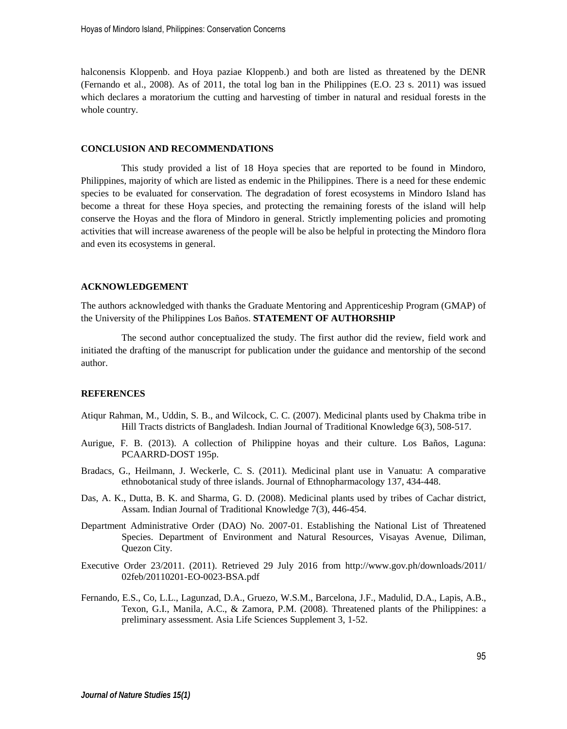halconensis Kloppenb. and Hoya paziae Kloppenb.) and both are listed as threatened by the DENR (Fernando et al., 2008). As of 2011, the total log ban in the Philippines (E.O. 23 s. 2011) was issued which declares a moratorium the cutting and harvesting of timber in natural and residual forests in the whole country.

#### **CONCLUSION AND RECOMMENDATIONS**

This study provided a list of 18 Hoya species that are reported to be found in Mindoro, Philippines, majority of which are listed as endemic in the Philippines. There is a need for these endemic species to be evaluated for conservation. The degradation of forest ecosystems in Mindoro Island has become a threat for these Hoya species, and protecting the remaining forests of the island will help conserve the Hoyas and the flora of Mindoro in general. Strictly implementing policies and promoting activities that will increase awareness of the people will be also be helpful in protecting the Mindoro flora and even its ecosystems in general.

### **ACKNOWLEDGEMENT**

The authors acknowledged with thanks the Graduate Mentoring and Apprenticeship Program (GMAP) of the University of the Philippines Los Baños. **STATEMENT OF AUTHORSHIP**

The second author conceptualized the study. The first author did the review, field work and initiated the drafting of the manuscript for publication under the guidance and mentorship of the second author.

### **REFERENCES**

- Atiqur Rahman, M., Uddin, S. B., and Wilcock, C. C. (2007). Medicinal plants used by Chakma tribe in Hill Tracts districts of Bangladesh. Indian Journal of Traditional Knowledge 6(3), 508-517.
- Aurigue, F. B. (2013). A collection of Philippine hoyas and their culture. Los Baños, Laguna: PCAARRD-DOST 195p.
- Bradacs, G., Heilmann, J. Weckerle, C. S. (2011). Medicinal plant use in Vanuatu: A comparative ethnobotanical study of three islands. Journal of Ethnopharmacology 137, 434-448.
- Das, A. K., Dutta, B. K. and Sharma, G. D. (2008). Medicinal plants used by tribes of Cachar district, Assam. Indian Journal of Traditional Knowledge 7(3), 446-454.
- Department Administrative Order (DAO) No. 2007-01. Establishing the National List of Threatened Species. Department of Environment and Natural Resources, Visayas Avenue, Diliman, Quezon City.
- Executive Order 23/2011. (2011). Retrieved 29 July 2016 from http://www.gov.ph/downloads/2011/ 02feb/20110201-EO-0023-BSA.pdf
- Fernando, E.S., Co, L.L., Lagunzad, D.A., Gruezo, W.S.M., Barcelona, J.F., Madulid, D.A., Lapis, A.B., Texon, G.I., Manila, A.C., & Zamora, P.M. (2008). Threatened plants of the Philippines: a preliminary assessment. Asia Life Sciences Supplement 3, 1-52.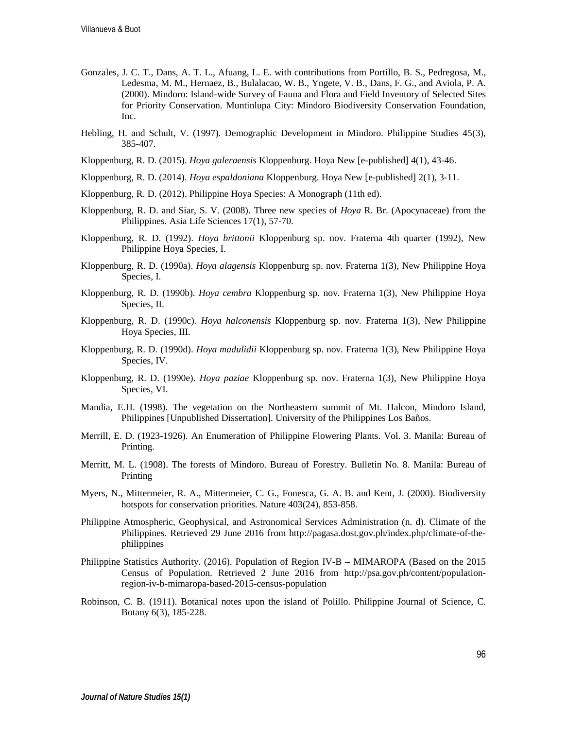- Gonzales, J. C. T., Dans, A. T. L., Afuang, L. E. with contributions from Portillo, B. S., Pedregosa, M., Ledesma, M. M., Hernaez, B., Bulalacao, W. B., Yngete, V. B., Dans, F. G., and Aviola, P. A. (2000). Mindoro: Island-wide Survey of Fauna and Flora and Field Inventory of Selected Sites for Priority Conservation. Muntinlupa City: Mindoro Biodiversity Conservation Foundation, Inc.
- Hebling, H. and Schult, V. (1997). Demographic Development in Mindoro. Philippine Studies 45(3), 385-407.
- Kloppenburg, R. D. (2015). *Hoya galeraensis* Kloppenburg. Hoya New [e-published] 4(1), 43-46.
- Kloppenburg, R. D. (2014). *Hoya espaldoniana* Kloppenburg. Hoya New [e-published] 2(1), 3-11.
- Kloppenburg, R. D. (2012). Philippine Hoya Species: A Monograph (11th ed).
- Kloppenburg, R. D. and Siar, S. V. (2008). Three new species of *Hoya* R. Br. (Apocynaceae) from the Philippines. Asia Life Sciences 17(1), 57-70.
- Kloppenburg, R. D. (1992). *Hoya brittonii* Kloppenburg sp. nov. Fraterna 4th quarter (1992), New Philippine Hoya Species, I.
- Kloppenburg, R. D. (1990a). *Hoya alagensis* Kloppenburg sp. nov. Fraterna 1(3), New Philippine Hoya Species, I.
- Kloppenburg, R. D. (1990b). *Hoya cembra* Kloppenburg sp. nov. Fraterna 1(3), New Philippine Hoya Species, II.
- Kloppenburg, R. D. (1990c). *Hoya halconensis* Kloppenburg sp. nov. Fraterna 1(3), New Philippine Hoya Species, III.
- Kloppenburg, R. D. (1990d). *Hoya madulidii* Kloppenburg sp. nov. Fraterna 1(3), New Philippine Hoya Species, IV.
- Kloppenburg, R. D. (1990e). *Hoya paziae* Kloppenburg sp. nov. Fraterna 1(3), New Philippine Hoya Species, VI.
- Mandia, E.H. (1998). The vegetation on the Northeastern summit of Mt. Halcon, Mindoro Island, Philippines [Unpublished Dissertation]. University of the Philippines Los Baños.
- Merrill, E. D. (1923-1926). An Enumeration of Philippine Flowering Plants. Vol. 3. Manila: Bureau of Printing.
- Merritt, M. L. (1908). The forests of Mindoro. Bureau of Forestry. Bulletin No. 8. Manila: Bureau of Printing
- Myers, N., Mittermeier, R. A., Mittermeier, C. G., Fonesca, G. A. B. and Kent, J. (2000). Biodiversity hotspots for conservation priorities. Nature 403(24), 853-858.
- Philippine Atmospheric, Geophysical, and Astronomical Services Administration (n. d). Climate of the Philippines. Retrieved 29 June 2016 from http://pagasa.dost.gov.ph/index.php/climate-of-thephilippines
- Philippine Statistics Authority. (2016). Population of Region IV-B MIMAROPA (Based on the 2015 Census of Population. Retrieved 2 June 2016 from http://psa.gov.ph/content/populationregion-iv-b-mimaropa-based-2015-census-population
- Robinson, C. B. (1911). Botanical notes upon the island of Polillo. Philippine Journal of Science, C. Botany 6(3), 185-228.